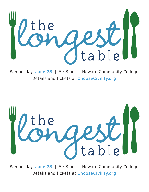

Wednesday, June 28 | 6 - 8 pm | Howard Community College Details and tickets at ChooseCivility.org



Wednesday, June 28 | 6 - 8 pm | Howard Community College Details and tickets at ChooseCivility.org